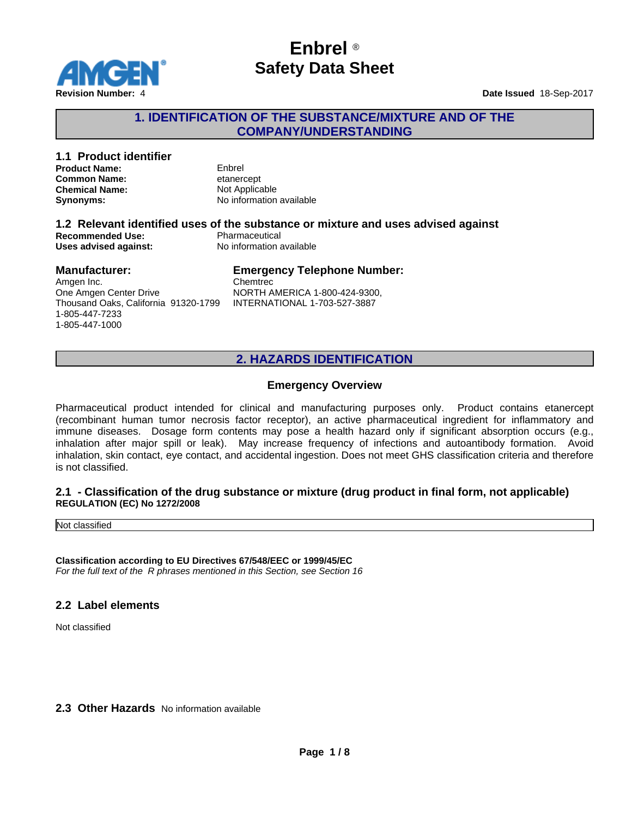

## **1. IDENTIFICATION OF THE SUBSTANCE/MIXTURE AND OF THE COMPANY/UNDERSTANDING**

# **1.1 Product identifier**

**Product Name:**<br> **Common Name:** Enbrel etanercept **Common Name:**<br> **Chemical Name:**<br> **Chemical Name:**<br> **Chemical Name: Chemical Name:** 

**Synonyms:** No information available

## **1.2 Relevant identified uses of the substance or mixture and uses advised against Recommended Use:**<br> **Uses advised against:**<br> **No information available Uses advised against:**

#### **Manufacturer:**

## **Emergency Telephone Number:**

Amgen Inc. One Amgen Center Drive Thousand Oaks, California 91320-1799 1-805-447-7233 1-805-447-1000

**Chemtrec** NORTH AMERICA 1-800-424-9300, INTERNATIONAL 1-703-527-3887

## **2. HAZARDS IDENTIFICATION**

## **Emergency Overview**

Pharmaceutical product intended for clinical and manufacturing purposes only. Product contains etanercept (recombinant human tumor necrosis factor receptor), an active pharmaceutical ingredient for inflammatory and immune diseases. Dosage form contents may pose a health hazard only if significant absorption occurs (e.g., inhalation after major spill or leak). May increase frequency of infections and autoantibody formation. Avoid inhalation, skin contact, eye contact, and accidental ingestion. Does not meetGHS classification criteria and therefore is not classified.

#### **2.1 - Classification of the drug substance or mixture (drug product in final form, not applicable) REGULATION (EC) No 1272/2008**

Not classified

**Classification according to EU Directives 67/548/EEC or 1999/45/EC** *For the full text of the R phrases mentioned in this Section, see Section 16*

## **2.2 Label elements**

Not classified

## **2.3 Other Hazards** No information available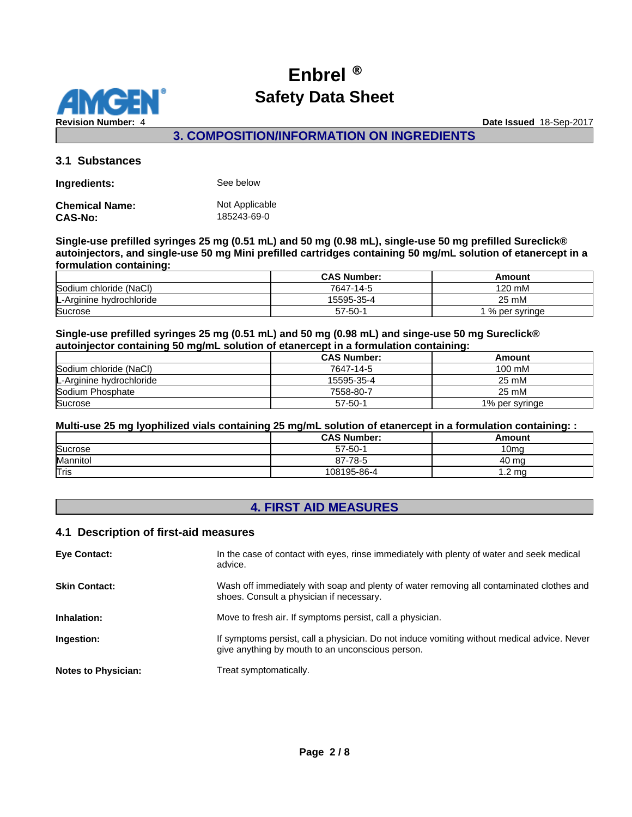

**3. COMPOSITION/INFORMATION ON INGREDIENTS**

## **3.1 Substances**

**Ingredients:** See below

| Chemical Name: | Not Applicable |
|----------------|----------------|
| CAS-No:        | 185243-69-0    |

**Single-use prefilled syringes 25 mg (0.51 mL) and 50 mg (0.98 mL), single-use 50 mg prefilled Sureclick® autoinjectors, and single-use 50 mg Mini prefilled cartridges containing 50 mg/mL solution of etanercept in a formulation containing:**

|                          | <b>CAS Number:</b> | Amount        |
|--------------------------|--------------------|---------------|
| Sodium chloride (NaCl)   | 7647-14-5          | 120 mM        |
| L-Arginine hydrochloride | 15595-35-4         | 25 mM         |
| Sucrose                  | $57 - 50 -$        | % per svringe |

**Single-use prefilled syringes 25 mg (0.51 mL) and 50 mg (0.98 mL) and singe-use 50 mg Sureclick® autoinjector containing 50 mg/mL solution of etanercept in a formulation containing:**

|                          | <b>CAS Number:</b> | Amount         |
|--------------------------|--------------------|----------------|
| Sodium chloride (NaCl)   | 7647-14-5          | 100 mM         |
| L-Arginine hydrochloride | 15595-35-4         | 25 mM          |
| Sodium Phosphate         | 7558-80-7          | 25 mM          |
| Sucrose                  | $57 - 50 - 1$      | 1% per syringe |

**Multi-use 25 mg lyophilized vials containing 25 mg/mL solution of etanercept in a formulation containing: :**

|          | <b>CAS Number:</b> | Amount       |
|----------|--------------------|--------------|
| Sucrose  | $57 - 50 - 1$      | 10ma         |
| Mannitol | 87-78-5            | 40 ma        |
| Tris     | 108195-86-4        | . ma<br>$-2$ |

# **4. FIRST AID MEASURES**

#### **4.1 Description of first-aid measures**

| <b>Eye Contact:</b>        | In the case of contact with eyes, rinse immediately with plenty of water and seek medical<br>advice.                                            |
|----------------------------|-------------------------------------------------------------------------------------------------------------------------------------------------|
| <b>Skin Contact:</b>       | Wash off immediately with soap and plenty of water removing all contaminated clothes and<br>shoes. Consult a physician if necessary.            |
| Inhalation:                | Move to fresh air. If symptoms persist, call a physician.                                                                                       |
| Ingestion:                 | If symptoms persist, call a physician. Do not induce vomiting without medical advice. Never<br>give anything by mouth to an unconscious person. |
| <b>Notes to Physician:</b> | Treat symptomatically.                                                                                                                          |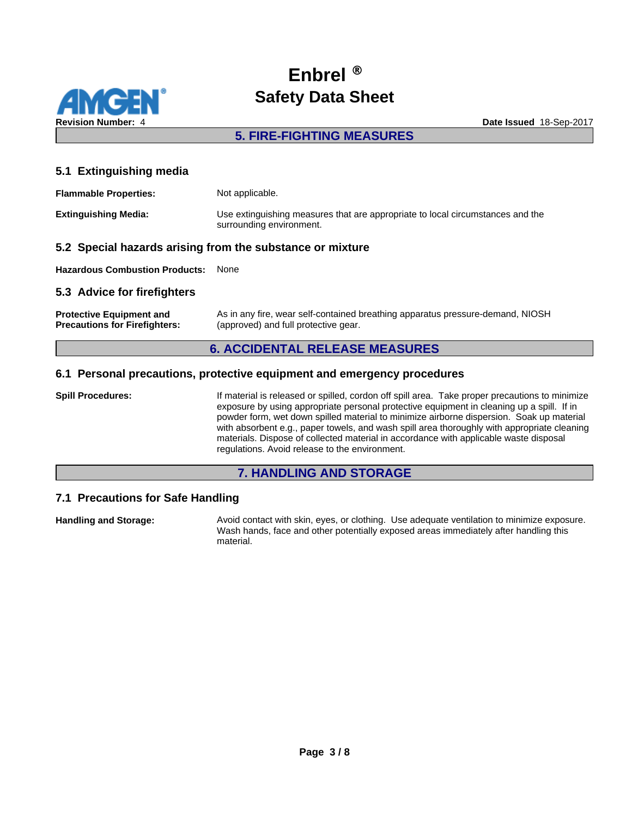

## **5. FIRE-FIGHTING MEASURES**

### **5.1 Extinguishing media**

| <b>Flammable Properties:</b> | Not applicable.                                                                                            |
|------------------------------|------------------------------------------------------------------------------------------------------------|
| <b>Extinguishing Media:</b>  | Use extinguishing measures that are appropriate to local circumstances and the<br>surrounding environment. |

### **5.2 Special hazards arising from the substance or mixture**

**Hazardous Combustion Products:** None

## **5.3 Advice for firefighters**

| <b>Protective Equipment and</b>      | As in any fire, wear self-contained breathing apparatus pressure-demand, NIOSH |
|--------------------------------------|--------------------------------------------------------------------------------|
| <b>Precautions for Firefighters:</b> | (approved) and full protective gear.                                           |

## **6. ACCIDENTAL RELEASE MEASURES**

### **6.1 Personal precautions, protective equipment and emergency procedures**

**Spill Procedures:** If material is released or spilled, cordon off spill area. Take proper precautions to minimize exposure by using appropriate personal protective equipment in cleaning up a spill. If in powder form, wet down spilled material to minimize airborne dispersion. Soak up material with absorbent e.g., paper towels, and wash spill area thoroughly with appropriate cleaning materials. Dispose of collected material in accordance with applicable waste disposal regulations. Avoid release to the environment.

## **7. HANDLING AND STORAGE**

## **7.1 Precautions for Safe Handling**

**Handling and Storage:** Avoid contact with skin, eyes, or clothing. Use adequate ventilation to minimize exposure. Wash hands, face and other potentially exposed areas immediately after handling this material.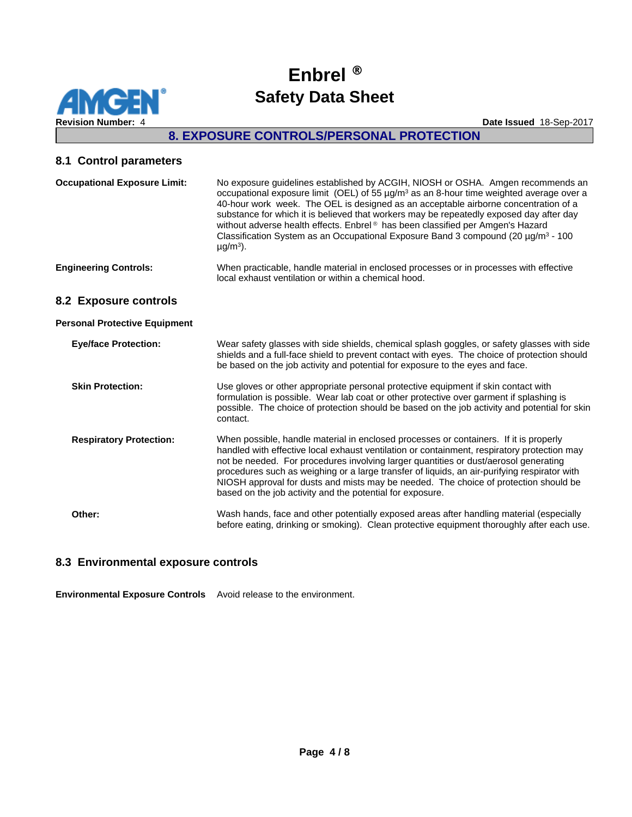

## **8. EXPOSURE CONTROLS/PERSONAL PROTECTION**

## **8.1 Control parameters**

| <b>Occupational Exposure Limit:</b>  | No exposure guidelines established by ACGIH, NIOSH or OSHA. Amgen recommends an<br>occupational exposure limit (OEL) of 55 $\mu$ g/m <sup>3</sup> as an 8-hour time weighted average over a<br>40-hour work week. The OEL is designed as an acceptable airborne concentration of a<br>substance for which it is believed that workers may be repeatedly exposed day after day<br>without adverse health effects. Enbrel® has been classified per Amgen's Hazard<br>Classification System as an Occupational Exposure Band 3 compound (20 $\mu$ g/m <sup>3</sup> - 100<br>$\mu$ g/m <sup>3</sup> ). |
|--------------------------------------|----------------------------------------------------------------------------------------------------------------------------------------------------------------------------------------------------------------------------------------------------------------------------------------------------------------------------------------------------------------------------------------------------------------------------------------------------------------------------------------------------------------------------------------------------------------------------------------------------|
| <b>Engineering Controls:</b>         | When practicable, handle material in enclosed processes or in processes with effective<br>local exhaust ventilation or within a chemical hood.                                                                                                                                                                                                                                                                                                                                                                                                                                                     |
| 8.2 Exposure controls                |                                                                                                                                                                                                                                                                                                                                                                                                                                                                                                                                                                                                    |
| <b>Personal Protective Equipment</b> |                                                                                                                                                                                                                                                                                                                                                                                                                                                                                                                                                                                                    |
| <b>Eye/face Protection:</b>          | Wear safety glasses with side shields, chemical splash goggles, or safety glasses with side<br>shields and a full-face shield to prevent contact with eyes. The choice of protection should<br>be based on the job activity and potential for exposure to the eyes and face.                                                                                                                                                                                                                                                                                                                       |
| <b>Skin Protection:</b>              | Use gloves or other appropriate personal protective equipment if skin contact with<br>formulation is possible. Wear lab coat or other protective over garment if splashing is<br>possible. The choice of protection should be based on the job activity and potential for skin<br>contact.                                                                                                                                                                                                                                                                                                         |
| <b>Respiratory Protection:</b>       | When possible, handle material in enclosed processes or containers. If it is properly<br>handled with effective local exhaust ventilation or containment, respiratory protection may<br>not be needed. For procedures involving larger quantities or dust/aerosol generating<br>procedures such as weighing or a large transfer of liquids, an air-purifying respirator with<br>NIOSH approval for dusts and mists may be needed. The choice of protection should be<br>based on the job activity and the potential for exposure.                                                                  |
| Other:                               | Wash hands, face and other potentially exposed areas after handling material (especially<br>before eating, drinking or smoking). Clean protective equipment thoroughly after each use.                                                                                                                                                                                                                                                                                                                                                                                                             |

## **8.3 Environmental exposure controls**

**Environmental Exposure Controls** Avoid release to the environment.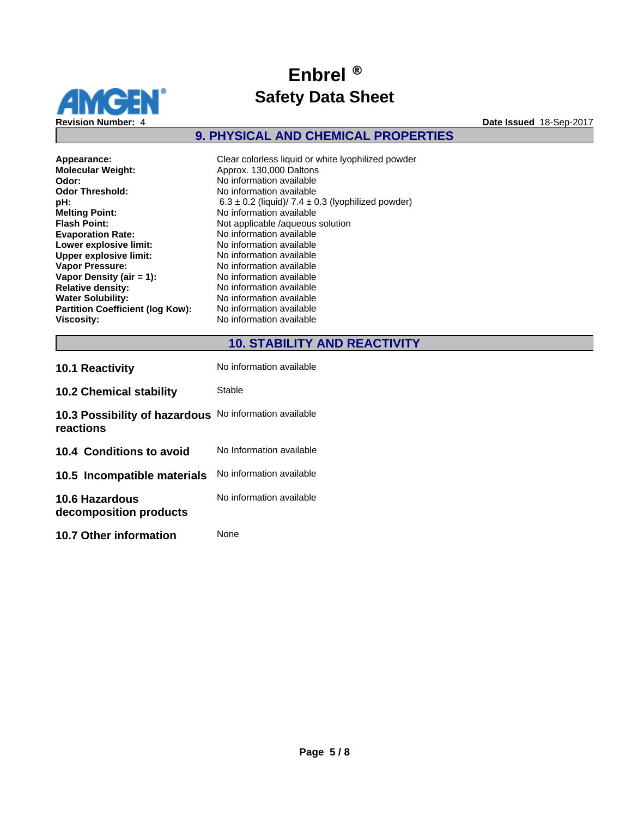

## **9. PHYSICAL AND CHEMICAL PROPERTIES**

**Molecular Weight:** Approx. 130,000 Daltons<br> **Odor:** No information available **Odor:** No information available<br> **Odor Threshold:** No information available **Odor Threshold:** No information available<br> **pH:** 6.3 ± 0.2 (liquid)/7.4 ± 0 **Melting Point:** No information available<br> **Flash Point:** Not applicable /aqueous **Evaporation Rate:**<br> **Lower explosive limit:**<br>
No information available **Lower explosive limit:**<br> **Upper explosive limit:** No information available<br>
No information available **Upper explosive limit:<br>Vapor Pressure: Vapor Density (air = 1):**<br> **Relative density:** No information available<br>
No information available **Relative density:** No information available<br> **Water Solubility:** No information available **Partition Coefficient (log Kow):** Viscosity: **Viscosity:** No information available

**Appearance:** Clear colorless liquid or white lyophilized powder<br> **Molecular Weight:** Approx. 130,000 Daltons **pH:** 6.3 ± 0.2 (liquid)/7.4 ± 0.3 (lyophilized powder) **Flash Point:** Not applicable /aqueous solution **No information available No information available**<br>**No information available** 

# **10. STABILITY AND REACTIVITY**

| <b>10.1 Reactivity</b>                          | No information available |
|-------------------------------------------------|--------------------------|
| <b>10.2 Chemical stability</b>                  | Stable                   |
| 10.3 Possibility of hazardous<br>reactions      | No information available |
| 10.4 Conditions to avoid                        | No Information available |
| 10.5 Incompatible materials                     | No information available |
| <b>10.6 Hazardous</b><br>decomposition products | No information available |
| 10.7 Other information                          | None                     |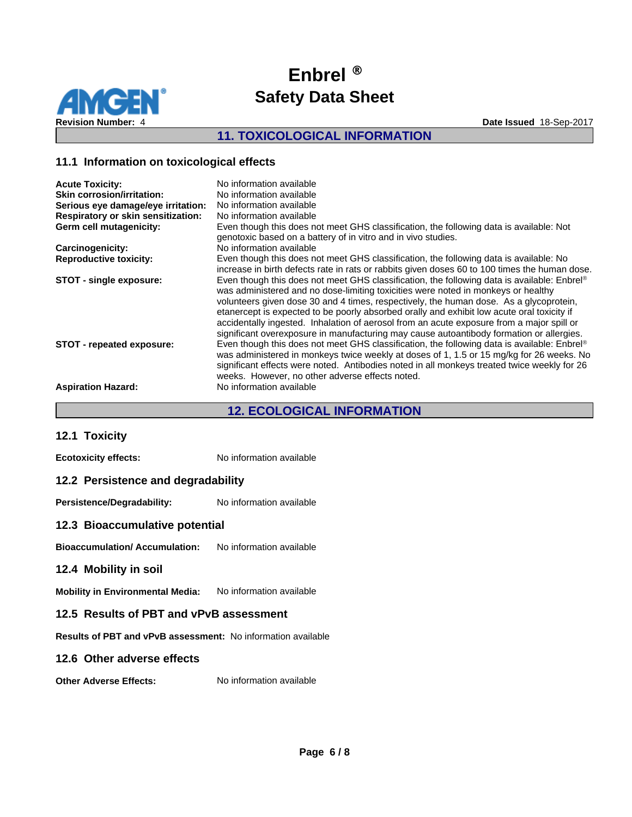

## **11. TOXICOLOGICAL INFORMATION**

## **11.1 Information on toxicological effects**

| <b>Acute Toxicity:</b>             | No information available                                                                                                                                                                                                                                                                                                                                                                                                                                                                                                                                          |
|------------------------------------|-------------------------------------------------------------------------------------------------------------------------------------------------------------------------------------------------------------------------------------------------------------------------------------------------------------------------------------------------------------------------------------------------------------------------------------------------------------------------------------------------------------------------------------------------------------------|
| <b>Skin corrosion/irritation:</b>  | No information available                                                                                                                                                                                                                                                                                                                                                                                                                                                                                                                                          |
| Serious eye damage/eye irritation: | No information available                                                                                                                                                                                                                                                                                                                                                                                                                                                                                                                                          |
| Respiratory or skin sensitization: | No information available                                                                                                                                                                                                                                                                                                                                                                                                                                                                                                                                          |
| Germ cell mutagenicity:            | Even though this does not meet GHS classification, the following data is available: Not<br>genotoxic based on a battery of in vitro and in vivo studies.                                                                                                                                                                                                                                                                                                                                                                                                          |
| Carcinogenicity:                   | No information available                                                                                                                                                                                                                                                                                                                                                                                                                                                                                                                                          |
| <b>Reproductive toxicity:</b>      | Even though this does not meet GHS classification, the following data is available: No<br>increase in birth defects rate in rats or rabbits given doses 60 to 100 times the human dose.                                                                                                                                                                                                                                                                                                                                                                           |
| STOT - single exposure:            | Even though this does not meet GHS classification, the following data is available: Enbrel®<br>was administered and no dose-limiting toxicities were noted in monkeys or healthy<br>volunteers given dose 30 and 4 times, respectively, the human dose. As a glycoprotein,<br>etanercept is expected to be poorly absorbed orally and exhibit low acute oral toxicity if<br>accidentally ingested. Inhalation of aerosol from an acute exposure from a major spill or<br>significant overexposure in manufacturing may cause autoantibody formation or allergies. |
| STOT - repeated exposure:          | Even though this does not meet GHS classification, the following data is available: Enbrel®<br>was administered in monkeys twice weekly at doses of 1, 1.5 or 15 mg/kg for 26 weeks. No<br>significant effects were noted. Antibodies noted in all monkeys treated twice weekly for 26<br>weeks. However, no other adverse effects noted.                                                                                                                                                                                                                         |
| <b>Aspiration Hazard:</b>          | No information available                                                                                                                                                                                                                                                                                                                                                                                                                                                                                                                                          |

## **12. ECOLOGICAL INFORMATION**

|  | 12.1 Toxicity |  |
|--|---------------|--|
|--|---------------|--|

**Ecotoxicity effects:** No information available

## **12.2 Persistence and degradability**

Persistence/Degradability: No information available

#### **12.3 Bioaccumulative potential**

**Bioaccumulation/ Accumulation:** No information available

#### **12.4 Mobility in soil**

**Mobility in Environmental Media:** No information available

## **12.5 Results of PBT and vPvB assessment**

**Results of PBT and vPvB assessment:** No information available

#### **12.6 Other adverse effects**

**Other Adverse Effects:** No information available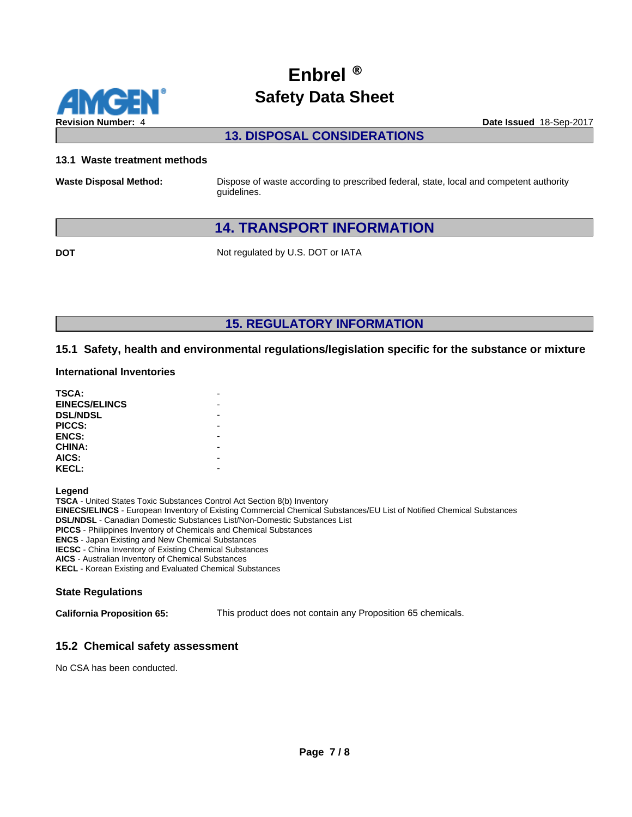

**13. DISPOSAL CONSIDERATIONS**

#### **13.1 Waste treatment methods**

**Waste Disposal Method:** Dispose of waste according to prescribed federal, state, local and competent authority guidelines.

# **14. TRANSPORT INFORMATION**

**DOT** Not regulated by U.S. DOT or IATA

**15. REGULATORY INFORMATION**

## **15.1 Safety, health and environmental regulations/legislation specific for the substance or mixture**

#### **International Inventories**

| TSCA:                |  |
|----------------------|--|
| <b>EINECS/ELINCS</b> |  |
| <b>DSL/NDSL</b>      |  |
| PICCS:               |  |
| <b>ENCS:</b>         |  |
| <b>CHINA:</b>        |  |
| AICS:                |  |
| <b>KECL:</b>         |  |
|                      |  |

**Legend**

**TSCA** - United States Toxic Substances Control Act Section 8(b) Inventory **EINECS/ELINCS** - European Inventory of Existing Commercial Chemical Substances/EU List of Notified Chemical Substances **DSL/NDSL** - Canadian Domestic Substances List/Non-Domestic Substances List **PICCS** - Philippines Inventory of Chemicals and Chemical Substances **ENCS** - Japan Existing and New Chemical Substances **IECSC** - China Inventory of Existing Chemical Substances **AICS** - Australian Inventory of Chemical Substances

**KECL** - Korean Existing and Evaluated Chemical Substances

#### **State Regulations**

**California Proposition 65:** This product does not contain any Proposition 65 chemicals.

## **15.2 Chemical safety assessment**

No CSA has been conducted.